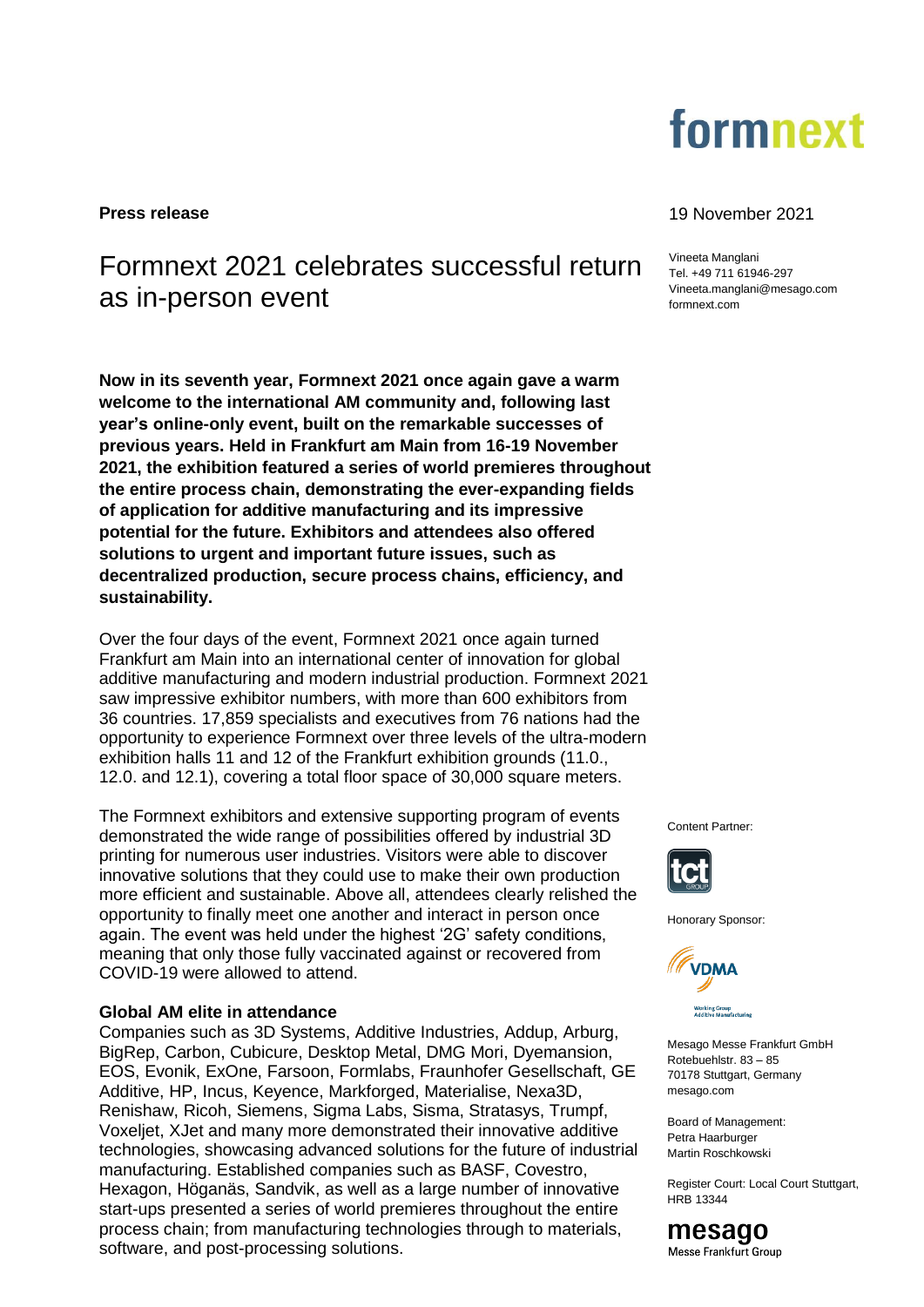

# Formnext 2021 celebrates successful return as in-person event

**Now in its seventh year, Formnext 2021 once again gave a warm welcome to the international AM community and, following last year's online-only event, built on the remarkable successes of previous years. Held in Frankfurt am Main from 16-19 November 2021, the exhibition featured a series of world premieres throughout the entire process chain, demonstrating the ever-expanding fields of application for additive manufacturing and its impressive potential for the future. Exhibitors and attendees also offered solutions to urgent and important future issues, such as decentralized production, secure process chains, efficiency, and sustainability.**

Over the four days of the event, Formnext 2021 once again turned Frankfurt am Main into an international center of innovation for global additive manufacturing and modern industrial production. Formnext 2021 saw impressive exhibitor numbers, with more than 600 exhibitors from 36 countries. 17,859 specialists and executives from 76 nations had the opportunity to experience Formnext over three levels of the ultra-modern exhibition halls 11 and 12 of the Frankfurt exhibition grounds (11.0., 12.0. and 12.1), covering a total floor space of 30,000 square meters.

The Formnext exhibitors and extensive supporting program of events demonstrated the wide range of possibilities offered by industrial 3D printing for numerous user industries. Visitors were able to discover innovative solutions that they could use to make their own production more efficient and sustainable. Above all, attendees clearly relished the opportunity to finally meet one another and interact in person once again. The event was held under the highest '2G' safety conditions, meaning that only those fully vaccinated against or recovered from COVID-19 were allowed to attend.

# **Global AM elite in attendance**

Companies such as 3D Systems, Additive Industries, Addup, Arburg, BigRep, Carbon, Cubicure, Desktop Metal, DMG Mori, Dyemansion, EOS, Evonik, ExOne, Farsoon, Formlabs, Fraunhofer Gesellschaft, GE Additive, HP, Incus, Keyence, Markforged, Materialise, Nexa3D, Renishaw, Ricoh, Siemens, Sigma Labs, Sisma, Stratasys, Trumpf, Voxeljet, XJet and many more demonstrated their innovative additive technologies, showcasing advanced solutions for the future of industrial manufacturing. Established companies such as BASF, Covestro, Hexagon, Höganäs, Sandvik, as well as a large number of innovative start-ups presented a series of world premieres throughout the entire process chain; from manufacturing technologies through to materials, software, and post-processing solutions.

## **Press release** 19 November 2021

Vineeta Manglani Tel. +49 711 61946-297 Vineeta.manglani@mesago.com [formnext.com](https://www.mesago.de/en/formnext/home.htm)

Content Partner:



Honorary Sponsor:



Mesago Messe Frankfurt GmbH Rotebuehlstr. 83 – 85 70178 Stuttgart, Germany mesago.com

Board of Management: Petra Haarburger Martin Roschkowski

Register Court: Local Court Stuttgart, HRB 13344

mesago Messe Frankfurt Group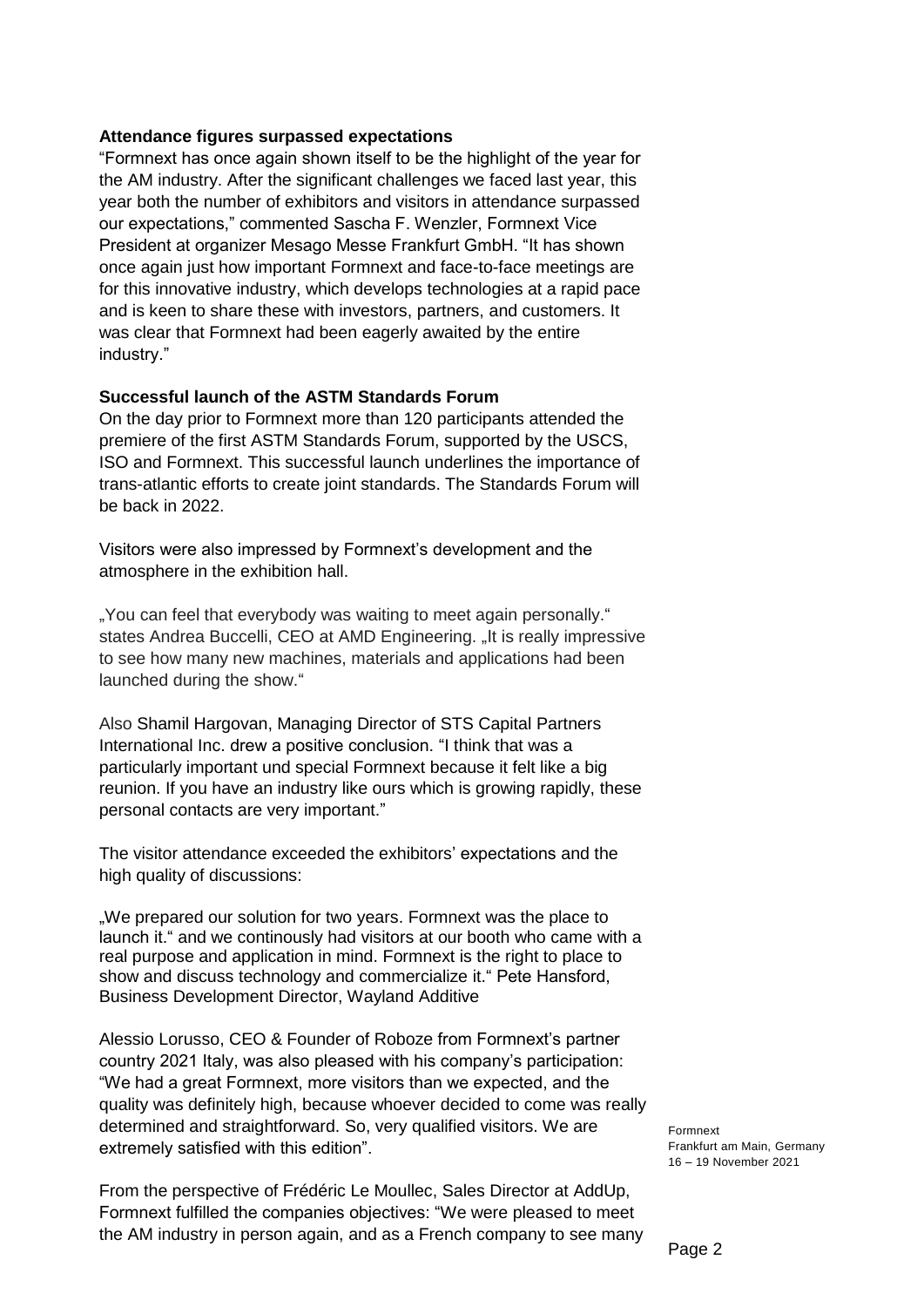# **Attendance figures surpassed expectations**

"Formnext has once again shown itself to be the highlight of the year for the AM industry. After the significant challenges we faced last year, this year both the number of exhibitors and visitors in attendance surpassed our expectations," commented Sascha F. Wenzler, Formnext Vice President at organizer Mesago Messe Frankfurt GmbH. "It has shown once again just how important Formnext and face-to-face meetings are for this innovative industry, which develops technologies at a rapid pace and is keen to share these with investors, partners, and customers. It was clear that Formnext had been eagerly awaited by the entire industry."

## **Successful launch of the ASTM Standards Forum**

On the day prior to Formnext more than 120 participants attended the premiere of the first ASTM Standards Forum, supported by the USCS, ISO and Formnext. This successful launch underlines the importance of trans-atlantic efforts to create joint standards. The Standards Forum will be back in 2022.

Visitors were also impressed by Formnext's development and the atmosphere in the exhibition hall.

"You can feel that everybody was waiting to meet again personally." states Andrea Buccelli, CEO at AMD Engineering. "It is really impressive to see how many new machines, materials and applications had been launched during the show."

Also Shamil Hargovan, Managing Director of STS Capital Partners International Inc. drew a positive conclusion. "I think that was a particularly important und special Formnext because it felt like a big reunion. If you have an industry like ours which is growing rapidly, these personal contacts are very important."

The visitor attendance exceeded the exhibitors' expectations and the high quality of discussions:

"We prepared our solution for two years. Formnext was the place to launch it." and we continously had visitors at our booth who came with a real purpose and application in mind. Formnext is the right to place to show and discuss technology and commercialize it." Pete Hansford, Business Development Director, Wayland Additive

Alessio Lorusso, CEO & Founder of Roboze from Formnext's partner country 2021 Italy, was also pleased with his company's participation: "We had a great Formnext, more visitors than we expected, and the quality was definitely high, because whoever decided to come was really determined and straightforward. So, very qualified visitors. We are extremely satisfied with this edition".

From the perspective of Frédéric Le Moullec, Sales Director at AddUp, Formnext fulfilled the companies objectives: "We were pleased to meet the AM industry in person again, and as a French company to see many Formnext Frankfurt am Main, Germany 16 – 19 November 2021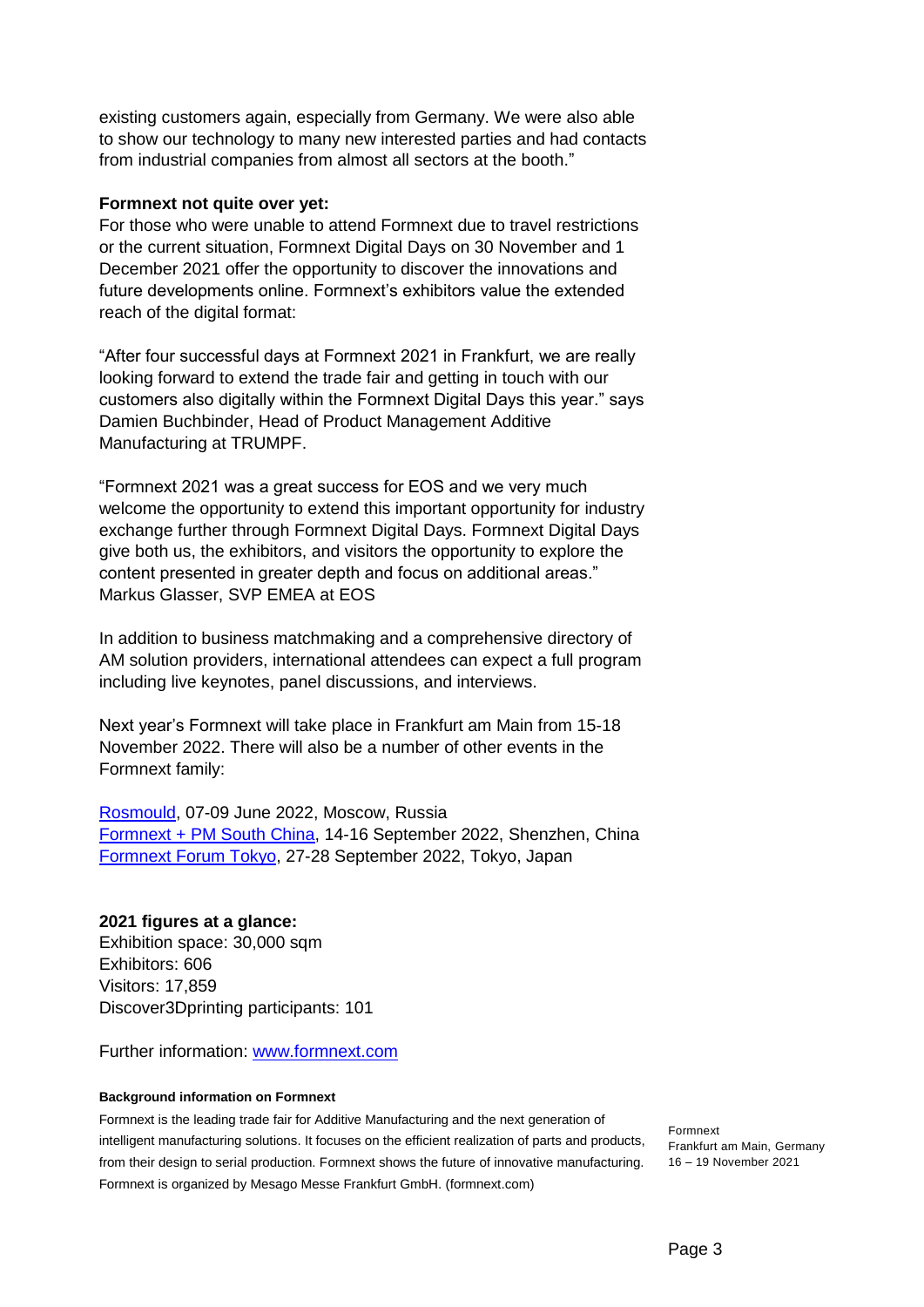existing customers again, especially from Germany. We were also able to show our technology to many new interested parties and had contacts from industrial companies from almost all sectors at the booth."

# **Formnext not quite over yet:**

For those who were unable to attend Formnext due to travel restrictions or the current situation, Formnext Digital Days on 30 November and 1 December 2021 offer the opportunity to discover the innovations and future developments online. Formnext's exhibitors value the extended reach of the digital format:

"After four successful days at Formnext 2021 in Frankfurt, we are really looking forward to extend the trade fair and getting in touch with our customers also digitally within the Formnext Digital Days this year." says Damien Buchbinder, Head of Product Management Additive Manufacturing at TRUMPF.

"Formnext 2021 was a great success for EOS and we very much welcome the opportunity to extend this important opportunity for industry exchange further through Formnext Digital Days. Formnext Digital Days give both us, the exhibitors, and visitors the opportunity to explore the content presented in greater depth and focus on additional areas." Markus Glasser, SVP EMEA at EOS

In addition to business matchmaking and a comprehensive directory of AM solution providers, international attendees can expect a full program including live keynotes, panel discussions, and interviews.

Next year's Formnext will take place in Frankfurt am Main from 15-18 November 2022. There will also be a number of other events in the Formnext family:

[Rosmould,](https://rosmould.ru.messefrankfurt.com/moscow/en.html) 07-09 June 2022, Moscow, Russia [Formnext + PM South China,](https://formnext-pm.hk.messefrankfurt.com/shenzhen/en.html) 14-16 September 2022, Shenzhen, China [Formnext Forum Tokyo,](https://formnextforum.jp.messefrankfurt.com/tokyo/en.html) 27-28 September 2022, Tokyo, Japan

# **2021 figures at a glance:**

Exhibition space: 30,000 sqm Exhibitors: 606 Visitors: 17,859 Discover3Dprinting participants: 101

Further information: [www.formnext.com](http://www.formnext.com/)

### **Background information on Formnext**

Formnext is the leading trade fair for Additive Manufacturing and the next generation of intelligent manufacturing solutions. It focuses on the efficient realization of parts and products, from their design to serial production. Formnext shows the future of innovative manufacturing. Formnext is organized by Mesago Messe Frankfurt GmbH. [\(formnext.com\)](https://www.mesago.de/en/formnext/home.htm?ovs_tnid=0)

Formnext Frankfurt am Main, Germany 16 – 19 November 2021